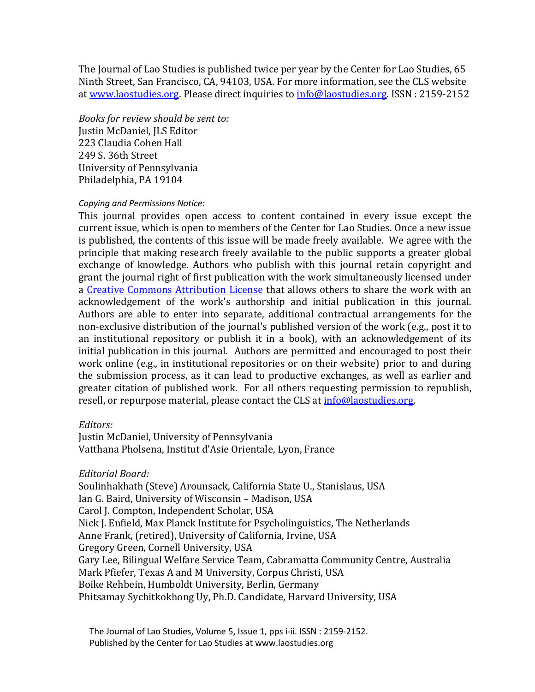The Journal of Lao Studies is published twice per year by the Center for Lao Studies, 65 Ninth Street, San Francisco, CA, 94103, USA. For more information, see the CLS website at [www.laostudies.org.](http://www.laostudies.org/) Please direct inquiries to [info@laostudies.org.](mailto:info@laostudies.org) ISSN : 2159-2152

*Books for review should be sent to:*  Justin McDaniel, JLS Editor 223 Claudia Cohen Hall 249 S. 36th Street University of Pennsylvania Philadelphia, PA 19104

### *Copying and Permissions Notice:*

This journal provides open access to content contained in every issue except the current issue, which is open to members of the Center for Lao Studies. Once a new issue is published, the contents of this issue will be made freely available. We agree with the principle that making research freely available to the public supports a greater global exchange of knowledge. Authors who publish with this journal retain copyright and grant the journal right of first publication with the work simultaneously licensed under a [Creative Commons Attribution License](http://creativecommons.org/licenses/by/3.0/) that allows others to share the work with an acknowledgement of the work's authorship and initial publication in this journal. Authors are able to enter into separate, additional contractual arrangements for the non-exclusive distribution of the journal's published version of the work (e.g., post it to an institutional repository or publish it in a book), with an acknowledgement of its initial publication in this journal. Authors are permitted and encouraged to post their work online (e.g., in institutional repositories or on their website) prior to and during the submission process, as it can lead to productive exchanges, as well as earlier and greater citation of published work. For all others requesting permission to republish, resell, or repurpose material, please contact the CLS at info@laostudies.org.

#### *Editors:*

Justin McDaniel, University of Pennsylvania Vatthana Pholsena, Institut d'Asie Orientale, Lyon, France

### *Editorial Board:*

Soulinhakhath (Steve) Arounsack, California State U., Stanislaus, USA Ian G. Baird, University of Wisconsin – Madison, USA Carol J. Compton, Independent Scholar, USA Nick J. Enfield, Max Planck Institute for Psycholinguistics, The Netherlands Anne Frank, (retired), University of California, Irvine, USA Gregory Green, Cornell University, USA Gary Lee, Bilingual Welfare Service Team, Cabramatta Community Centre, Australia Mark Pfiefer, Texas A and M University, Corpus Christi, USA Boike Rehbein, Humboldt University, Berlin, Germany Phitsamay Sychitkokhong Uy, Ph.D. Candidate, Harvard University, USA

 The Journal of Lao Studies, Volume 5, Issue 1, pps i-ii. ISSN : 2159-2152. Published by the Center for Lao Studies at www.laostudies.org